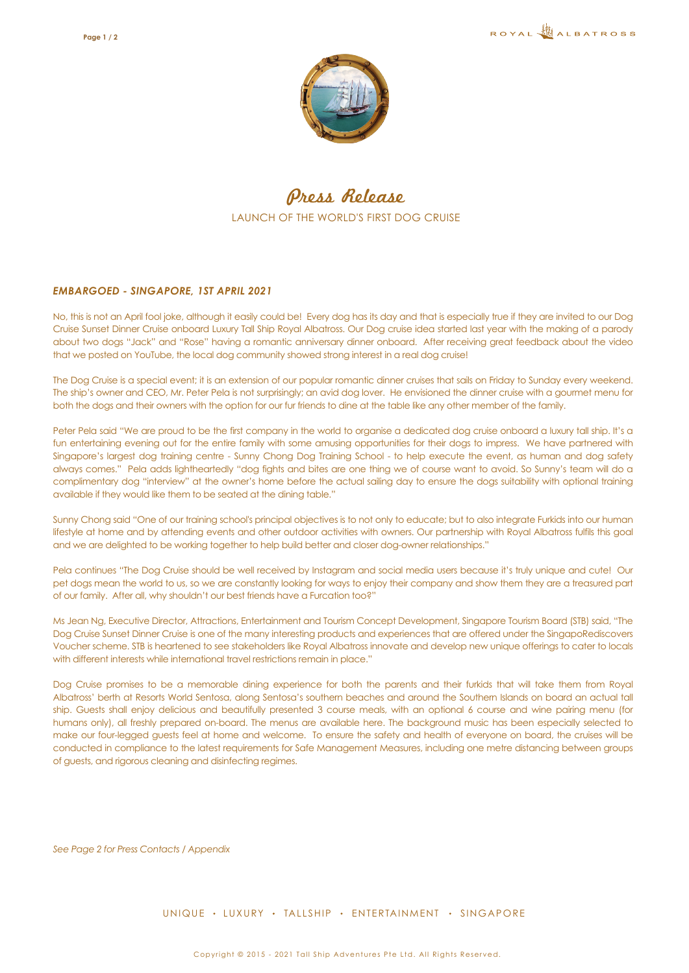

Press Release LAUNCH OF THE WORLD'S FIRST DOG CRUISE

#### *EMBARGOED - SINGAPORE, 1ST APRIL 2021*

No, this is not an April fool joke, although it easily could be! Every dog has its day and that is especially true if they are invited to our Dog Cruise Sunset Dinner Cruise onboard Luxury Tall Ship Royal Albatross. Our Dog cruise idea started last year with the making of a parody about two dogs "Jack" and "Rose" having a romantic anniversary dinner onboard. After receiving great feedback about the video that we posted on YouTube, the local dog community showed strong interest in a real dog cruise!

The Dog Cruise is a special event; it is an extension of our popular romantic dinner cruises that sails on Friday to Sunday every weekend. The ship's owner and CEO, Mr. Peter Pela is not surprisingly; an avid dog lover. He envisioned the dinner cruise with a gourmet menu for both the dogs and their owners with the option for our fur friends to dine at the table like any other member of the family.

Peter Pela said "We are proud to be the first company in the world to organise a dedicated dog cruise onboard a luxury tall ship. It's a fun entertaining evening out for the entire family with some amusing opportunities for their dogs to impress. We have partnered with Singapore's largest dog training centre - Sunny Chong Dog Training School - to help execute the event, as human and dog safety always comes." Pela adds lightheartedly "dog fights and bites are one thing we of course want to avoid. So Sunny's team will do a complimentary dog "interview" at the owner's home before the actual sailing day to ensure the dogs suitability with optional training available if they would like them to be seated at the dining table."

Sunny Chong said "One of our training school's principal objectives is to not only to educate; but to also integrate Furkids into our human lifestyle at home and by attending events and other outdoor activities with owners. Our partnership with Royal Albatross fulfils this goal and we are delighted to be working together to help build better and closer dog-owner relationships."

Pela continues "The Dog Cruise should be well received by Instagram and social media users because it's truly unique and cute! Our pet dogs mean the world to us, so we are constantly looking for ways to enjoy their company and show them they are a treasured part of our family. After all, why shouldn't our best friends have a Furcation too?"

Ms Jean Ng, Executive Director, Attractions, Entertainment and Tourism Concept Development, Singapore Tourism Board (STB) said, "The Dog Cruise Sunset Dinner Cruise is one of the many interesting products and experiences that are offered under the SingapoRediscovers Voucher scheme. STB is heartened to see stakeholders like Royal Albatross innovate and develop new unique offerings to cater to locals with different interests while international travel restrictions remain in place."

Dog Cruise promises to be a memorable dining experience for both the parents and their furkids that will take them from Royal Albatross' berth at Resorts World Sentosa, along Sentosa's southern beaches and around the Southern Islands on board an actual tall ship. Guests shall enjoy delicious and beautifully presented 3 course meals, with an optional 6 course and wine pairing menu (for humans only), all freshly prepared on-board. The menus are available here. The background music has been especially selected to make our four-legged guests feel at home and welcome. To ensure the safety and health of everyone on board, the cruises will be conducted in compliance to the latest requirements for Safe Management Measures, including one metre distancing between groups of guests, and rigorous cleaning and disinfecting regimes.

*See Page 2 for Press Contacts / Appendix* 

UNIQUE · LUXURY · TALLSHIP · ENTERTAINMENT · SINGAPORE